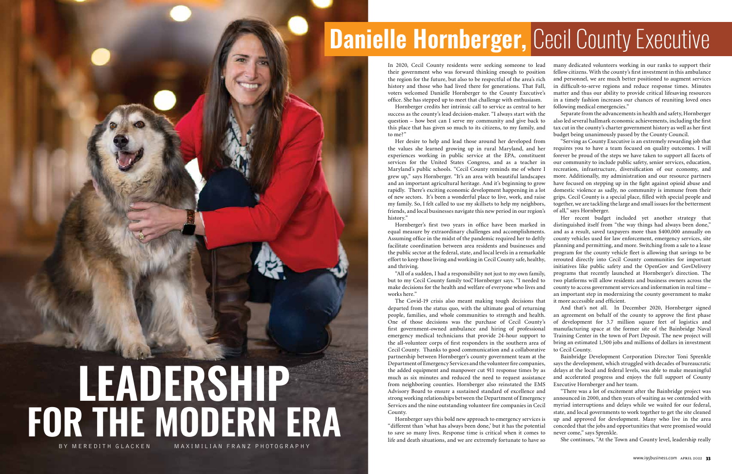### **Danielle Hornberger, Cecil County Executive**

In 2020, Cecil County residents were seeking someone to lead their government who was forward thinking enough to position the region for the future, but also to be respectful of the area's rich history and those who had lived there for generations. That Fall, voters welcomed Danielle Hornberger to the County Executive's office. She has stepped up to meet that challenge with enthusiasm. Hornberger credits her intrinsic call to service as central to her success as the county's lead decision-maker. "I always start with the

question – how best can I serve my community and give back to this place that has given so much to its citizens, to my family, and to me?"

Her desire to help and lead those around her developed from the values she learned growing up in rural Maryland, and her experiences working in public service at the EPA, constituent services for the United States Congress, and as a teacher in Maryland's public schools. "Cecil County reminds me of where I grew up," says Hornberger. "It's an area with beautiful landscapes and an important agricultural heritage. And it's beginning to grow rapidly. There's exciting economic development happening in a lot of new sectors. It's been a wonderful place to live, work, and raise my family. So, I felt called to use my skillsets to help my neighbors, friends, and local businesses navigate this new period in our region's history."

equal measure by extraordinary challenges and accomplishments. Assuming office in the midst of the pandemic required her to deftly facilitate coordination between area residents and businesses and the public sector at the federal, state, and local levels in a remarkable effort to keep those living and working in Cecil County safe, healthy, and thriving. make decisions for the health and welfare of everyone who lives and works here."

departed from the status quo, with the ultimate goal of returning people, families, and whole communities to strength and health. One of those decisions was the purchase of Cecil County's first government-owned ambulance and hiring of professional emergency medical technicians that provide 24-hour support to the all-volunteer corps of first responders in the southern area of Cecil County. Thanks to good communication and a collaborative partnership between Hornberger's county government team at the Department of Emergency Services and the volunteer fire companies, the added equipment and manpower cut 911 response times by as much as six minutes and reduced the need to request assistance from neighboring counties. Hornberger also reinstated the EMS Advisory Board to ensure a sustained standard of excellence and County.

# **LEADERSHIP FOR THE MODERN ERA** MAXIMILIAN FRANZ PHOTOGRAPHY

Hornberger's first two years in office have been marked in "All of a sudden, I had a responsibility not just to my own family, but to my Cecil County family too," Hornberger says. "I needed to The Covid-19 crisis also meant making tough decisions that Her recent budget included yet another strategy that distinguished itself from "the way things had always been done," and as a result, saved taxpayers more than \$400,000 annually on county vehicles used for law enforcement, emergency services, site planning and permitting, and more. Switching from a sale to a lease program for the county vehicle fleet is allowing that savings to be rerouted directly into Cecil County communities for important initiatives like public safety and the OpenGov and GovDelivery programs that recently launched at Hornberger's direction. The two platforms will allow residents and business owners across the county to access government services and information in real time – an important step in modernizing the county government to make it more accessible and efficient.

many dedicated volunteers working in our ranks to support their fellow citizens. With the county's first investment in this ambulance and personnel, we are much better positioned to augment services in difficult-to-serve regions and reduce response times. Minutes matter and thus our ability to provide critical lifesaving resources in a timely fashion increases our chances of reuniting loved ones following medical emergencies."

Separate from the advancements in health and safety, Hornberger also led several hallmark economic achievements, including the first tax cut in the county's charter government history as well as her first budget being unanimously passed by the County Council.

"Serving as County Executive is an extremely rewarding job that requires you to have a team focused on quality outcomes. I will forever be proud of the steps we have taken to support all facets of our community to include public safety, senior services, education, recreation, infrastructure, diversification of our economy, and more. Additionally, my administration and our resource partners have focused on stepping up in the fight against opioid abuse and domestic violence as sadly, no community is immune from their grips. Cecil County is a special place, filled with special people and together, we are tackling the large and small issues for the betterment of all," says Hornberger.

strong working relationships between the Department of Emergency Services and the nine outstanding volunteer fire companies in Cecil Hornberger says this bold new approach to emergency services is "different than 'what has always been done,' but it has the potential to save so many lives. Response time is critical when it comes to life and death situations, and we are extremely fortunate to have so "There was a lot of excitement after the Bainbridge project was announced in 2000, and then years of waiting as we contended with myriad interruptions and delays while we waited for our federal, state, and local governments to work together to get the site cleaned up and approved for development. Many who live in the area conceded that the jobs and opportunities that were promised would never come," says Sprenkle. She continues, "At the Town and County level, leadership really

And that's not all. In December 2020, Hornberger signed an agreement on behalf of the county to approve the first phase of development for 3.7 million square feet of logistics and manufacturing space at the former site of the Bainbridge Naval Training Center in the town of Port Deposit. The new project will bring an estimated 1,500 jobs and millions of dollars in investment to Cecil County.

Bainbridge Development Corporation Director Toni Sprenkle says the development, which struggled with decades of bureaucratic delays at the local and federal levels, was able to make meaningful and accelerated progress and enjoys the full support of County Executive Hornberger and her team.

www.i95business.com APRIL 2022 33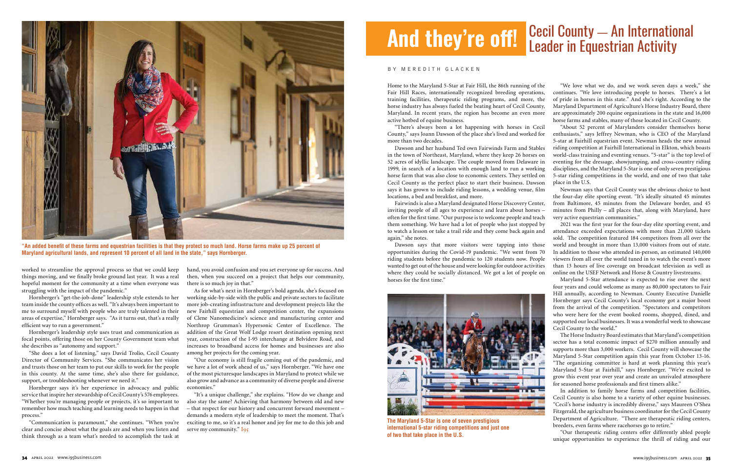Home to the Maryland 5-Star at Fair Hill, the 86th running of the Fair Hill Races, internationally recognized breeding operations, training facilities, therapeutic riding programs, and more, the horse industry has always fueled the beating heart of Cecil County, Maryland. In recent years, the region has become an even more active hotbed of equine business.

"There's always been a lot happening with horses in Cecil County," says Joann Dawson of the place she's lived and worked for more than two decades.

Dawson and her husband Ted own Fairwinds Farm and Stables in the town of Northeast, Maryland, where they keep 26 horses on 52 acres of idyllic landscape. The couple moved from Delaware in 1999, in search of a location with enough land to run a working horse farm that was also close to economic centers. They settled on Cecil County as the perfect place to start their business. Dawson says it has grown to include riding lessons, a wedding venue, film locations, a bed and breakfast, and more.

Fairwinds is also a Maryland designated Horse Discovery Center, inviting people of all ages to experience and learn about horses – often for the first time. "Our purpose is to welcome people and teach them something. We have had a lot of people who just stopped by to watch a lesson or take a trail ride and they come back again and again," she notes.

Dawson says that more visitors were tapping into those opportunities during the Covid-19 pandemic. "We went from 70 riding students before the pandemic to 120 students now. People wanted to get out of the house and were looking for outdoor activities where they could be socially distanced. We got a lot of people on horses for the first time."

"We love what we do, and we work seven days a week," she continues. "We love introducing people to horses. There's a lot of pride in horses in this state." And she's right. According to the Maryland Department of Agriculture's Horse Industry Board, there are approximately 200 equine organizations in the state and 16,000 horse farms and stables, many of those located in Cecil County.

"About 52 percent of Marylanders consider themselves horse enthusiasts," says Jeffrey Newman, who is CEO of the Maryland 5-star at Fairhill equestrian event. Newman heads the new annual riding competition at Fairhill International in Elkton, which boasts world-class training and eventing venues. "5-star" is the top level of eventing for the dressage, showjumping, and cross-country riding disciplines, and the Maryland 5-Star is one of only seven prestigious 5-star riding competitions in the world, and one of two that take place in the U.S.

Newman says that Cecil County was the obvious choice to host the four-day elite sporting event. "It's ideally situated 45 minutes from Baltimore, 45 minutes from the Delaware border, and 45 minutes from Philly – all places that, along with Maryland, have very active equestrian communities."

2021 was the first year for the four-day elite sporting event, and attendance exceeded expectations with more than 21,000 tickets sold. The competition featured 184 competitors from all over the world and brought in more than 13,000 visitors from out of state. In addition to those who attended in-person, an estimated 140,000 viewers from all over the world tuned in to watch the event's more than 13 hours of live coverage on broadcast television as well as online on the USEF Network and Horse & Country livestreams.

Maryland 5-Star attendance is expected to rise over the next four years and could welcome as many as 80,000 spectators to Fair Hill annually, according to Newman. County Executive Danielle Hornberger says Cecil County's local economy got a major boost from the arrival of the competition. "Spectators and competitors who were here for the event booked rooms, shopped, dined, and supported our local businesses. It was a wonderful week to showcase Cecil County to the world."

"It's a unique challenge," she explains. "How do we change and also stay the same? Achieving that harmony between old and new – that respect for our history and concurrent forward movement – demands a modern style of leadership to meet the moment. That's exciting to me, so it's a real honor and joy for me to do this job and serve my community."  $I<sub>95</sub>$ 

## **And they're off!** Cecil County — An International **And they're off!** Leader in Equestrian Activity

The Horse Industry Board estimates that Maryland's competition sector has a total economic impact of \$270 million annually and supports more than 3,000 workers. Cecil County will showcase the Maryland 5-Star competition again this year from October 13-16. "The organizing committee is hard at work planning this year's Maryland 5-Star at Fairhill," says Hornberger. "We're excited to grow this event year over year and create an unrivaled atmosphere for seasoned horse professionals and first timers alike."

In addition to family horse farms and competition facilities, Cecil County is also home to a variety of other equine businesses. "Cecil's horse industry is incredibly diverse," says Maureen O'Shea Fitzgerald, the agriculture business coordinator for the Cecil County Department of Agriculture. "There are therapeutic riding centers, breeders, even farms where racehorses go to retire."

"Our therapeutic riding centers offer differently abled people unique opportunities to experience the thrill of riding and our

worked to streamline the approval process so that we could keep things moving, and we finally broke ground last year. It was a real hopeful moment for the community at a time when everyone was struggling with the impact of the pandemic."

Hornberger's "get-the-job-done" leadership style extends to her team inside the county offices as well. "It's always been important to me to surround myself with people who are truly talented in their areas of expertise," Hornberger says. "As it turns out, that's a really efficient way to run a government."

Hornberger's leadership style uses trust and communication as focal points, offering those on her County Government team what she describes as "autonomy and support."

"She does a lot of listening," says David Trolio, Cecil County Director of Community Services. "She communicates her vision and trusts those on her team to put our skills to work for the people in this county. At the same time, she's also there for guidance, support, or troubleshooting whenever we need it."

Hornberger says it's her experience in advocacy and public service that inspire her stewardship of Cecil County's 576 employees. "Whether you're managing people or projects, it's so important to remember how much teaching and learning needs to happen in that process."

"Communication is paramount," she continues. "When you're clear and concise about what the goals are and when you listen and think through as a team what's needed to accomplish the task at

hand, you avoid confusion and you set everyone up for success. And then, when you succeed on a project that helps our community, there is so much joy in that."

As for what's next in Hornberger's bold agenda, she's focused on working side-by-side with the public and private sectors to facilitate more job-creating infrastructure and development projects like the new Fairhill equestrian and competition center, the expansions of Clene Nanomedicine's science and manufacturing center and Northrop Grumman's Hypersonic Center of Excellence. The addition of the Great Wolf Lodge resort destination opening next year, construction of the I-95 interchange at Belvidere Road, and increases to broadband access for homes and businesses are also among her projects for the coming year.

"Our economy is still fragile coming out of the pandemic, and we have a lot of work ahead of us," says Hornberger. "We have one of the most picturesque landscapes in Maryland to protect while we also grow and advance as a community of diverse people and diverse economies."

#### BY MEREDITH GLACKEN



**"An added benefit of these farms and equestrian facilities is that they protect so much land. Horse farms make up 25 percent of Maryland agricultural lands, and represent 10 percent of all land in the state," says Hornberger.**



**The Maryland 5-Star is one of seven prestigious international 5-star riding competitions and just one of two that take place in the U.S.**